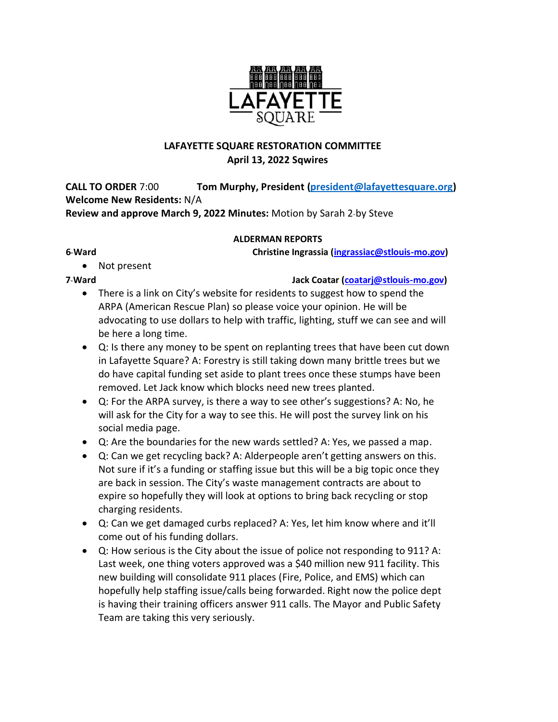

# **LAFAYETTE SQUARE RESTORATION COMMITTEE April 13, 2022 Sqwires**

**CALL TO ORDER** 7:00 **Tom Murphy, President (president@lafayettesquare.org) Welcome New Residents:** N/A **Review and approve March 9, 2022 Minutes: Motion by Sarah 2-by Steve** 

## **ALDERMAN REPORTS**

**6th Ward Christine Ingrassia (ingrassiac@stlouis-mo.gov)** 

• Not present

**7th Ward Jack Coatar (coatarj@stlouis-mo.gov)**

- There is a link on City's website for residents to suggest how to spend the ARPA (American Rescue Plan) so please voice your opinion. He will be advocating to use dollars to help with traffic, lighting, stuff we can see and will be here a long time.
- Q: Is there any money to be spent on replanting trees that have been cut down in Lafayette Square? A: Forestry is still taking down many brittle trees but we do have capital funding set aside to plant trees once these stumps have been removed. Let Jack know which blocks need new trees planted.
- Q: For the ARPA survey, is there a way to see other's suggestions? A: No, he will ask for the City for a way to see this. He will post the survey link on his social media page.
- Q: Are the boundaries for the new wards settled? A: Yes, we passed a map.
- Q: Can we get recycling back? A: Alderpeople aren't getting answers on this. Not sure if it's a funding or staffing issue but this will be a big topic once they are back in session. The City's waste management contracts are about to expire so hopefully they will look at options to bring back recycling or stop charging residents.
- Q: Can we get damaged curbs replaced? A: Yes, let him know where and it'll come out of his funding dollars.
- Q: How serious is the City about the issue of police not responding to 911? A: Last week, one thing voters approved was a \$40 million new 911 facility. This new building will consolidate 911 places (Fire, Police, and EMS) which can hopefully help staffing issue/calls being forwarded. Right now the police dept is having their training officers answer 911 calls. The Mayor and Public Safety Team are taking this very seriously.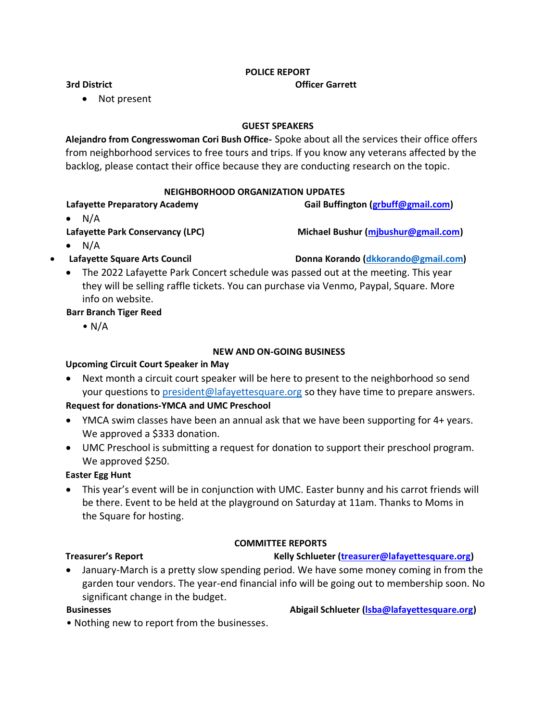### **POLICE REPORT**

### **3rd District Community Community Community Community Community Community Community Community Community Community Community Community Community Community Community Community Community Community Community Community Communit**

## • Not present

### **GUEST SPEAKERS**

**Alejandro from Congresswoman Cori Bush Office-** Spoke about all the services their office offers from neighborhood services to free tours and trips. If you know any veterans affected by the backlog, please contact their office because they are conducting research on the topic.

### **NEIGHBORHOOD ORGANIZATION UPDATES**

# Lafayette Preparatory Academy **Gail Buffington (grbuff@gmail.com)**

 $\bullet$  N/A

 $\bullet$  N/A

# **Lafayette Park Conservancy (LPC) Michael Bushur (mjbushur@gmail.com)**

• **Lafayette Square Arts Council Donna Korando [\(dkkorando@gmail.com\)](mailto:dkkorando@gmail.com)**

• The 2022 Lafayette Park Concert schedule was passed out at the meeting. This year they will be selling raffle tickets. You can purchase via Venmo, Paypal, Square. More info on website.

## **Barr Branch Tiger Reed**

 $\bullet$  N/A

## **NEW AND ON-GOING BUSINESS**

## **Upcoming Circuit Court Speaker in May**

• Next month a circuit court speaker will be here to present to the neighborhood so send your questions to **president@lafayettesquare.org** so they have time to prepare answers.

## **Request for donations-YMCA and UMC Preschool**

- YMCA swim classes have been an annual ask that we have been supporting for 4+ years. We approved a \$333 donation.
- UMC Preschool is submitting a request for donation to support their preschool program. We approved \$250.

## **Easter Egg Hunt**

• This year's event will be in conjunction with UMC. Easter bunny and his carrot friends will be there. Event to be held at the playground on Saturday at 11am. Thanks to Moms in the Square for hosting.

## **COMMITTEE REPORTS**

## **Treasurer's Report Kelly Schlueter (treasurer@lafayettesquare.org)**

• January-March is a pretty slow spending period. We have some money coming in from the garden tour vendors. The year-end financial info will be going out to membership soon. No significant change in the budget.

**Businesses Abigail Schlueter (Isba@lafayettesquare.org) Abigail Schlueter (Isba@lafayettesquare.org)** 

• Nothing new to report from the businesses.